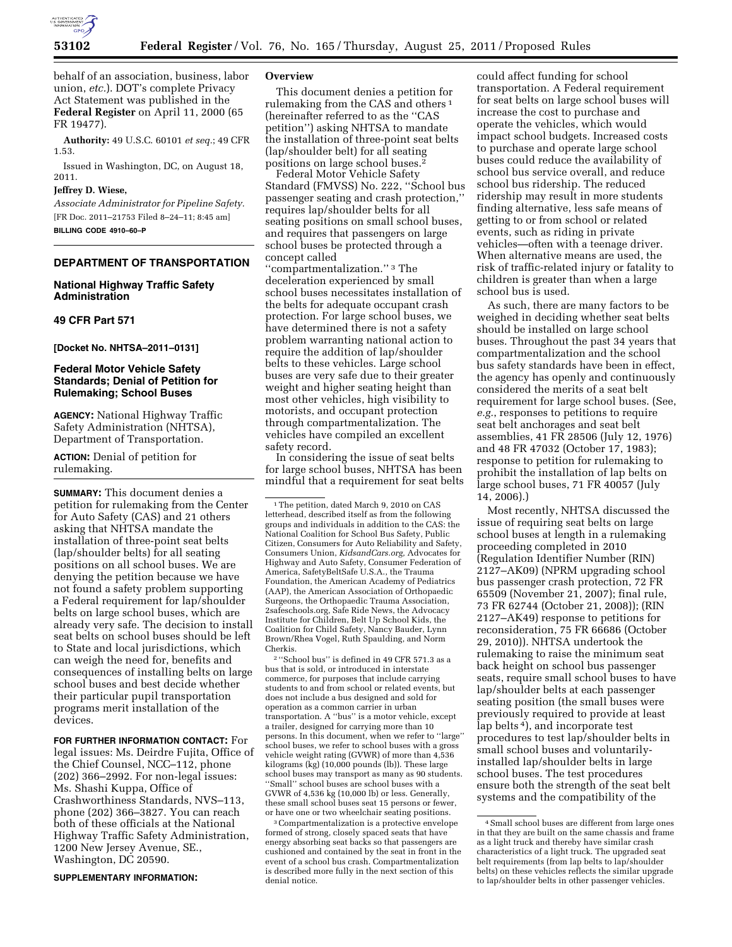

behalf of an association, business, labor union, *etc.*). DOT's complete Privacy Act Statement was published in the **Federal Register** on April 11, 2000 (65 FR 19477).

**Authority:** 49 U.S.C. 60101 *et seq.*; 49 CFR 1.53.

Issued in Washington, DC, on August 18, 2011.

# **Jeffrey D. Wiese,**

*Associate Administrator for Pipeline Safety.*  [FR Doc. 2011–21753 Filed 8–24–11; 8:45 am] **BILLING CODE 4910–60–P** 

# **DEPARTMENT OF TRANSPORTATION**

# **National Highway Traffic Safety Administration**

#### **49 CFR Part 571**

**[Docket No. NHTSA–2011–0131]** 

# **Federal Motor Vehicle Safety Standards; Denial of Petition for Rulemaking; School Buses**

**AGENCY:** National Highway Traffic Safety Administration (NHTSA), Department of Transportation.

**ACTION:** Denial of petition for rulemaking.

**SUMMARY:** This document denies a petition for rulemaking from the Center for Auto Safety (CAS) and 21 others asking that NHTSA mandate the installation of three-point seat belts (lap/shoulder belts) for all seating positions on all school buses. We are denying the petition because we have not found a safety problem supporting a Federal requirement for lap/shoulder belts on large school buses, which are already very safe. The decision to install seat belts on school buses should be left to State and local jurisdictions, which can weigh the need for, benefits and consequences of installing belts on large school buses and best decide whether their particular pupil transportation programs merit installation of the devices.

**FOR FURTHER INFORMATION CONTACT:** For legal issues: Ms. Deirdre Fujita, Office of the Chief Counsel, NCC–112, phone (202) 366–2992. For non-legal issues: Ms. Shashi Kuppa, Office of Crashworthiness Standards, NVS–113, phone (202) 366–3827. You can reach both of these officials at the National Highway Traffic Safety Administration, 1200 New Jersey Avenue, SE., Washington, DC 20590.

**SUPPLEMENTARY INFORMATION:** 

#### **Overview**

This document denies a petition for rulemaking from the CAS and others 1 (hereinafter referred to as the ''CAS petition'') asking NHTSA to mandate the installation of three-point seat belts (lap/shoulder belt) for all seating positions on large school buses.<sup>2</sup>

Federal Motor Vehicle Safety Standard (FMVSS) No. 222, ''School bus passenger seating and crash protection,'' requires lap/shoulder belts for all seating positions on small school buses, and requires that passengers on large school buses be protected through a concept called

''compartmentalization.'' 3 The deceleration experienced by small school buses necessitates installation of the belts for adequate occupant crash protection. For large school buses, we have determined there is not a safety problem warranting national action to require the addition of lap/shoulder belts to these vehicles. Large school buses are very safe due to their greater weight and higher seating height than most other vehicles, high visibility to motorists, and occupant protection through compartmentalization. The vehicles have compiled an excellent safety record.

In considering the issue of seat belts for large school buses, NHTSA has been mindful that a requirement for seat belts

2 ''School bus'' is defined in 49 CFR 571.3 as a bus that is sold, or introduced in interstate commerce, for purposes that include carrying students to and from school or related events, but does not include a bus designed and sold for operation as a common carrier in urban transportation. A ''bus'' is a motor vehicle, except a trailer, designed for carrying more than 10 persons. In this document, when we refer to ''large'' school buses, we refer to school buses with a gross vehicle weight rating (GVWR) of more than 4,536 kilograms (kg) (10,000 pounds (lb)). These large school buses may transport as many as 90 students. ''Small'' school buses are school buses with a GVWR of 4,536 kg (10,000 lb) or less. Generally, these small school buses seat 15 persons or fewer, or have one or two wheelchair seating positions.

3Compartmentalization is a protective envelope formed of strong, closely spaced seats that have energy absorbing seat backs so that passengers are cushioned and contained by the seat in front in the event of a school bus crash. Compartmentalization is described more fully in the next section of this denial notice.

could affect funding for school transportation. A Federal requirement for seat belts on large school buses will increase the cost to purchase and operate the vehicles, which would impact school budgets. Increased costs to purchase and operate large school buses could reduce the availability of school bus service overall, and reduce school bus ridership. The reduced ridership may result in more students finding alternative, less safe means of getting to or from school or related events, such as riding in private vehicles—often with a teenage driver. When alternative means are used, the risk of traffic-related injury or fatality to children is greater than when a large school bus is used.

As such, there are many factors to be weighed in deciding whether seat belts should be installed on large school buses. Throughout the past 34 years that compartmentalization and the school bus safety standards have been in effect, the agency has openly and continuously considered the merits of a seat belt requirement for large school buses. (See, *e.g.*, responses to petitions to require seat belt anchorages and seat belt assemblies, 41 FR 28506 (July 12, 1976) and 48 FR 47032 (October 17, 1983); response to petition for rulemaking to prohibit the installation of lap belts on large school buses, 71 FR 40057 (July 14, 2006).)

Most recently, NHTSA discussed the issue of requiring seat belts on large school buses at length in a rulemaking proceeding completed in 2010 (Regulation Identifier Number (RIN) 2127–AK09) (NPRM upgrading school bus passenger crash protection, 72 FR 65509 (November 21, 2007); final rule, 73 FR 62744 (October 21, 2008)); (RIN 2127–AK49) response to petitions for reconsideration, 75 FR 66686 (October 29, 2010)). NHTSA undertook the rulemaking to raise the minimum seat back height on school bus passenger seats, require small school buses to have lap/shoulder belts at each passenger seating position (the small buses were previously required to provide at least lap belts<sup>4</sup>), and incorporate test procedures to test lap/shoulder belts in small school buses and voluntarilyinstalled lap/shoulder belts in large school buses. The test procedures ensure both the strength of the seat belt systems and the compatibility of the

<sup>&</sup>lt;sup>1</sup>The petition, dated March 9, 2010 on CAS letterhead, described itself as from the following groups and individuals in addition to the CAS: the National Coalition for School Bus Safety, Public Citizen, Consumers for Auto Reliability and Safety, Consumers Union, *KidsandCars.org,* Advocates for Highway and Auto Safety, Consumer Federation of America, SafetyBeltSafe U.S.A., the Trauma Foundation, the American Academy of Pediatrics (AAP), the American Association of Orthopaedic Surgeons, the Orthopaedic Trauma Association, 2safeschools.org, Safe Ride News, the Advocacy Institute for Children, Belt Up School Kids, the Coalition for Child Safety, Nancy Bauder, Lynn Brown/Rhea Vogel, Ruth Spaulding, and Norm Cherkis.

<sup>4</sup>Small school buses are different from large ones in that they are built on the same chassis and frame as a light truck and thereby have similar crash characteristics of a light truck. The upgraded seat belt requirements (from lap belts to lap/shoulder belts) on these vehicles reflects the similar upgrade to lap/shoulder belts in other passenger vehicles.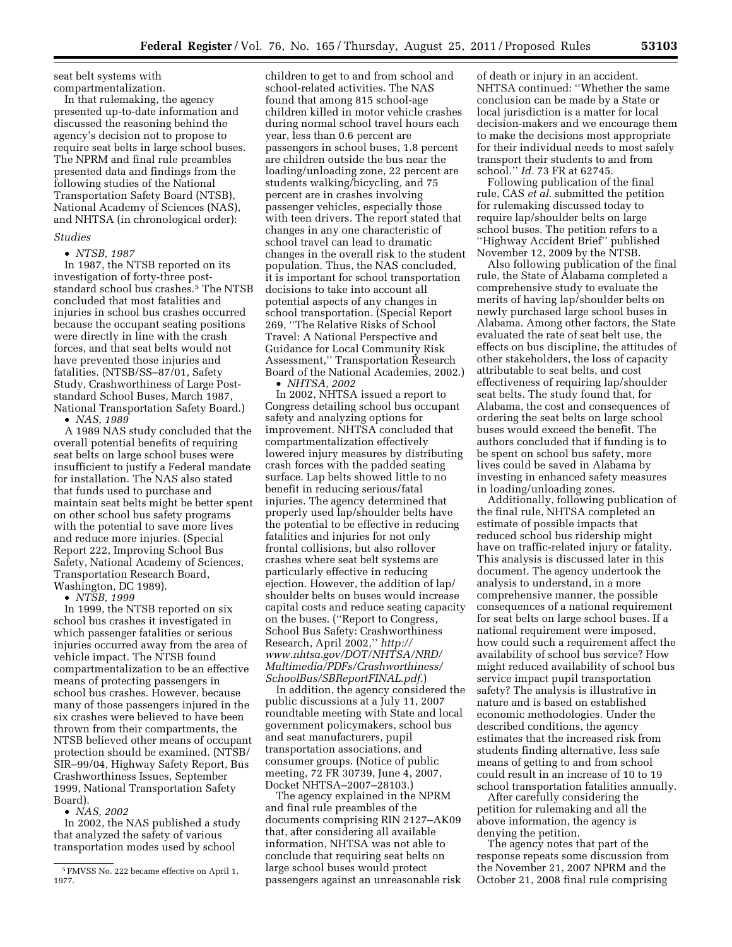seat belt systems with compartmentalization.

In that rulemaking, the agency presented up-to-date information and discussed the reasoning behind the agency's decision not to propose to require seat belts in large school buses. The NPRM and final rule preambles presented data and findings from the following studies of the National Transportation Safety Board (NTSB), National Academy of Sciences (NAS), and NHTSA (in chronological order):

## *Studies*

• *NTSB, 1987* 

In 1987, the NTSB reported on its investigation of forty-three poststandard school bus crashes.5 The NTSB concluded that most fatalities and injuries in school bus crashes occurred because the occupant seating positions were directly in line with the crash forces, and that seat belts would not have prevented those injuries and fatalities. (NTSB/SS–87/01, Safety Study, Crashworthiness of Large Poststandard School Buses, March 1987, National Transportation Safety Board.)

• *NAS, 1989* 

A 1989 NAS study concluded that the overall potential benefits of requiring seat belts on large school buses were insufficient to justify a Federal mandate for installation. The NAS also stated that funds used to purchase and maintain seat belts might be better spent on other school bus safety programs with the potential to save more lives and reduce more injuries. (Special Report 222, Improving School Bus Safety, National Academy of Sciences, Transportation Research Board, Washington, DC 1989).

• *NTSB, 1999* 

In 1999, the NTSB reported on six school bus crashes it investigated in which passenger fatalities or serious injuries occurred away from the area of vehicle impact. The NTSB found compartmentalization to be an effective means of protecting passengers in school bus crashes. However, because many of those passengers injured in the six crashes were believed to have been thrown from their compartments, the NTSB believed other means of occupant protection should be examined. (NTSB/ SIR–99/04, Highway Safety Report, Bus Crashworthiness Issues, September 1999, National Transportation Safety Board).

• *NAS, 2002* 

In 2002, the NAS published a study that analyzed the safety of various transportation modes used by school

children to get to and from school and school-related activities. The NAS found that among 815 school-age children killed in motor vehicle crashes during normal school travel hours each year, less than 0.6 percent are passengers in school buses, 1.8 percent are children outside the bus near the loading/unloading zone, 22 percent are students walking/bicycling, and 75 percent are in crashes involving passenger vehicles, especially those with teen drivers. The report stated that changes in any one characteristic of school travel can lead to dramatic changes in the overall risk to the student population. Thus, the NAS concluded, it is important for school transportation decisions to take into account all potential aspects of any changes in school transportation. (Special Report 269, ''The Relative Risks of School Travel: A National Perspective and Guidance for Local Community Risk Assessment,'' Transportation Research Board of the National Academies, 2002.) • *NHTSA, 2002* 

In 2002, NHTSA issued a report to Congress detailing school bus occupant safety and analyzing options for improvement. NHTSA concluded that compartmentalization effectively lowered injury measures by distributing crash forces with the padded seating surface. Lap belts showed little to no benefit in reducing serious/fatal injuries. The agency determined that properly used lap/shoulder belts have the potential to be effective in reducing fatalities and injuries for not only frontal collisions, but also rollover crashes where seat belt systems are particularly effective in reducing ejection. However, the addition of lap/ shoulder belts on buses would increase capital costs and reduce seating capacity on the buses. (''Report to Congress, School Bus Safety: Crashworthiness Research, April 2002,'' *[http://](http://www.nhtsa.gov/DOT/NHTSA/NRD/Multimedia/PDFs/Crashworthiness/SchoolBus/SBReportFINAL.pdf)  [www.nhtsa.gov/DOT/NHTSA/NRD/](http://www.nhtsa.gov/DOT/NHTSA/NRD/Multimedia/PDFs/Crashworthiness/SchoolBus/SBReportFINAL.pdf) [Multimedia/PDFs/Crashworthiness/](http://www.nhtsa.gov/DOT/NHTSA/NRD/Multimedia/PDFs/Crashworthiness/SchoolBus/SBReportFINAL.pdf)  [SchoolBus/SBReportFINAL.pdf.](http://www.nhtsa.gov/DOT/NHTSA/NRD/Multimedia/PDFs/Crashworthiness/SchoolBus/SBReportFINAL.pdf)*)

In addition, the agency considered the public discussions at a July 11, 2007 roundtable meeting with State and local government policymakers, school bus and seat manufacturers, pupil transportation associations, and consumer groups. (Notice of public meeting, 72 FR 30739, June 4, 2007, Docket NHTSA–2007–28103.)

The agency explained in the NPRM and final rule preambles of the documents comprising RIN 2127–AK09 that, after considering all available information, NHTSA was not able to conclude that requiring seat belts on large school buses would protect passengers against an unreasonable risk

of death or injury in an accident. NHTSA continued: ''Whether the same conclusion can be made by a State or local jurisdiction is a matter for local decision-makers and we encourage them to make the decisions most appropriate for their individual needs to most safely transport their students to and from school.'' *Id.* 73 FR at 62745.

Following publication of the final rule, CAS *et al.* submitted the petition for rulemaking discussed today to require lap/shoulder belts on large school buses. The petition refers to a ''Highway Accident Brief'' published November 12, 2009 by the NTSB.

Also following publication of the final rule, the State of Alabama completed a comprehensive study to evaluate the merits of having lap/shoulder belts on newly purchased large school buses in Alabama. Among other factors, the State evaluated the rate of seat belt use, the effects on bus discipline, the attitudes of other stakeholders, the loss of capacity attributable to seat belts, and cost effectiveness of requiring lap/shoulder seat belts. The study found that, for Alabama, the cost and consequences of ordering the seat belts on large school buses would exceed the benefit. The authors concluded that if funding is to be spent on school bus safety, more lives could be saved in Alabama by investing in enhanced safety measures in loading/unloading zones.

Additionally, following publication of the final rule, NHTSA completed an estimate of possible impacts that reduced school bus ridership might have on traffic-related injury or fatality. This analysis is discussed later in this document. The agency undertook the analysis to understand, in a more comprehensive manner, the possible consequences of a national requirement for seat belts on large school buses. If a national requirement were imposed, how could such a requirement affect the availability of school bus service? How might reduced availability of school bus service impact pupil transportation safety? The analysis is illustrative in nature and is based on established economic methodologies. Under the described conditions, the agency estimates that the increased risk from students finding alternative, less safe means of getting to and from school could result in an increase of 10 to 19 school transportation fatalities annually.

After carefully considering the petition for rulemaking and all the above information, the agency is denying the petition.

The agency notes that part of the response repeats some discussion from the November 21, 2007 NPRM and the October 21, 2008 final rule comprising

<sup>5</sup>FMVSS No. 222 became effective on April 1, 1977.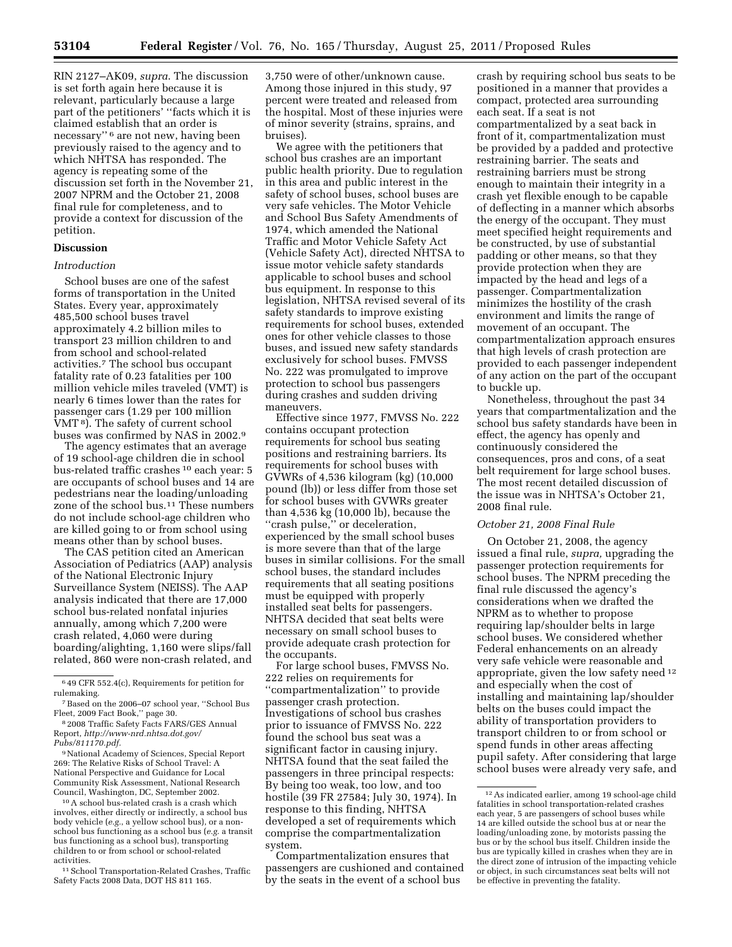RIN 2127–AK09, *supra*. The discussion is set forth again here because it is relevant, particularly because a large part of the petitioners' ''facts which it is claimed establish that an order is necessary'' 6 are not new, having been previously raised to the agency and to which NHTSA has responded. The agency is repeating some of the discussion set forth in the November 21, 2007 NPRM and the October 21, 2008 final rule for completeness, and to provide a context for discussion of the petition.

# **Discussion**

## *Introduction*

School buses are one of the safest forms of transportation in the United States. Every year, approximately 485,500 school buses travel approximately 4.2 billion miles to transport 23 million children to and from school and school-related activities.7 The school bus occupant fatality rate of 0.23 fatalities per 100 million vehicle miles traveled (VMT) is nearly 6 times lower than the rates for passenger cars (1.29 per 100 million VMT 8). The safety of current school buses was confirmed by NAS in 2002.9

The agency estimates that an average of 19 school-age children die in school bus-related traffic crashes 10 each year: 5 are occupants of school buses and 14 are pedestrians near the loading/unloading zone of the school bus.11 These numbers do not include school-age children who are killed going to or from school using means other than by school buses.

The CAS petition cited an American Association of Pediatrics (AAP) analysis of the National Electronic Injury Surveillance System (NEISS). The AAP analysis indicated that there are 17,000 school bus-related nonfatal injuries annually, among which 7,200 were crash related, 4,060 were during boarding/alighting, 1,160 were slips/fall related, 860 were non-crash related, and

9National Academy of Sciences, Special Report 269: The Relative Risks of School Travel: A National Perspective and Guidance for Local Community Risk Assessment, National Research Council, Washington, DC, September 2002.

10A school bus-related crash is a crash which involves, either directly or indirectly, a school bus body vehicle (e.g., a yellow school bus), or a nonschool bus functioning as a school bus (*e.g.* a transit bus functioning as a school bus), transporting children to or from school or school-related activities.

11School Transportation-Related Crashes, Traffic Safety Facts 2008 Data, DOT HS 811 165.

3,750 were of other/unknown cause. Among those injured in this study, 97 percent were treated and released from the hospital. Most of these injuries were of minor severity (strains, sprains, and bruises).

We agree with the petitioners that school bus crashes are an important public health priority. Due to regulation in this area and public interest in the safety of school buses, school buses are very safe vehicles. The Motor Vehicle and School Bus Safety Amendments of 1974, which amended the National Traffic and Motor Vehicle Safety Act (Vehicle Safety Act), directed NHTSA to issue motor vehicle safety standards applicable to school buses and school bus equipment. In response to this legislation, NHTSA revised several of its safety standards to improve existing requirements for school buses, extended ones for other vehicle classes to those buses, and issued new safety standards exclusively for school buses. FMVSS No. 222 was promulgated to improve protection to school bus passengers during crashes and sudden driving maneuvers.

Effective since 1977, FMVSS No. 222 contains occupant protection requirements for school bus seating positions and restraining barriers. Its requirements for school buses with GVWRs of 4,536 kilogram (kg) (10,000 pound (lb)) or less differ from those set for school buses with GVWRs greater than 4,536 kg (10,000 lb), because the ''crash pulse,'' or deceleration, experienced by the small school buses is more severe than that of the large buses in similar collisions. For the small school buses, the standard includes requirements that all seating positions must be equipped with properly installed seat belts for passengers. NHTSA decided that seat belts were necessary on small school buses to provide adequate crash protection for the occupants.

For large school buses, FMVSS No. 222 relies on requirements for ''compartmentalization'' to provide passenger crash protection. Investigations of school bus crashes prior to issuance of FMVSS No. 222 found the school bus seat was a significant factor in causing injury. NHTSA found that the seat failed the passengers in three principal respects: By being too weak, too low, and too hostile (39 FR 27584; July 30, 1974). In response to this finding, NHTSA developed a set of requirements which comprise the compartmentalization system.

Compartmentalization ensures that passengers are cushioned and contained by the seats in the event of a school bus

crash by requiring school bus seats to be positioned in a manner that provides a compact, protected area surrounding each seat. If a seat is not compartmentalized by a seat back in front of it, compartmentalization must be provided by a padded and protective restraining barrier. The seats and restraining barriers must be strong enough to maintain their integrity in a crash yet flexible enough to be capable of deflecting in a manner which absorbs the energy of the occupant. They must meet specified height requirements and be constructed, by use of substantial padding or other means, so that they provide protection when they are impacted by the head and legs of a passenger. Compartmentalization minimizes the hostility of the crash environment and limits the range of movement of an occupant. The compartmentalization approach ensures that high levels of crash protection are provided to each passenger independent of any action on the part of the occupant to buckle up.

Nonetheless, throughout the past 34 years that compartmentalization and the school bus safety standards have been in effect, the agency has openly and continuously considered the consequences, pros and cons, of a seat belt requirement for large school buses. The most recent detailed discussion of the issue was in NHTSA's October 21, 2008 final rule.

# *October 21, 2008 Final Rule*

On October 21, 2008, the agency issued a final rule, *supra,* upgrading the passenger protection requirements for school buses. The NPRM preceding the final rule discussed the agency's considerations when we drafted the NPRM as to whether to propose requiring lap/shoulder belts in large school buses. We considered whether Federal enhancements on an already very safe vehicle were reasonable and appropriate, given the low safety need 12 and especially when the cost of installing and maintaining lap/shoulder belts on the buses could impact the ability of transportation providers to transport children to or from school or spend funds in other areas affecting pupil safety. After considering that large school buses were already very safe, and

<sup>6</sup> 49 CFR 552.4(c), Requirements for petition for rulemaking.

<sup>7</sup>Based on the 2006–07 school year, ''School Bus Fleet, 2009 Fact Book,'' page 30.

<sup>8</sup> 2008 Traffic Safety Facts FARS/GES Annual Report, *[http://www-nrd.nhtsa.dot.gov/](http://www-nrd.nhtsa.dot.gov/Pubs/811170.pdf) [Pubs/811170.pdf.](http://www-nrd.nhtsa.dot.gov/Pubs/811170.pdf)* 

<sup>12</sup>As indicated earlier, among 19 school-age child fatalities in school transportation-related crashes each year, 5 are passengers of school buses while 14 are killed outside the school bus at or near the loading/unloading zone, by motorists passing the bus or by the school bus itself. Children inside the bus are typically killed in crashes when they are in the direct zone of intrusion of the impacting vehicle or object, in such circumstances seat belts will not be effective in preventing the fatality.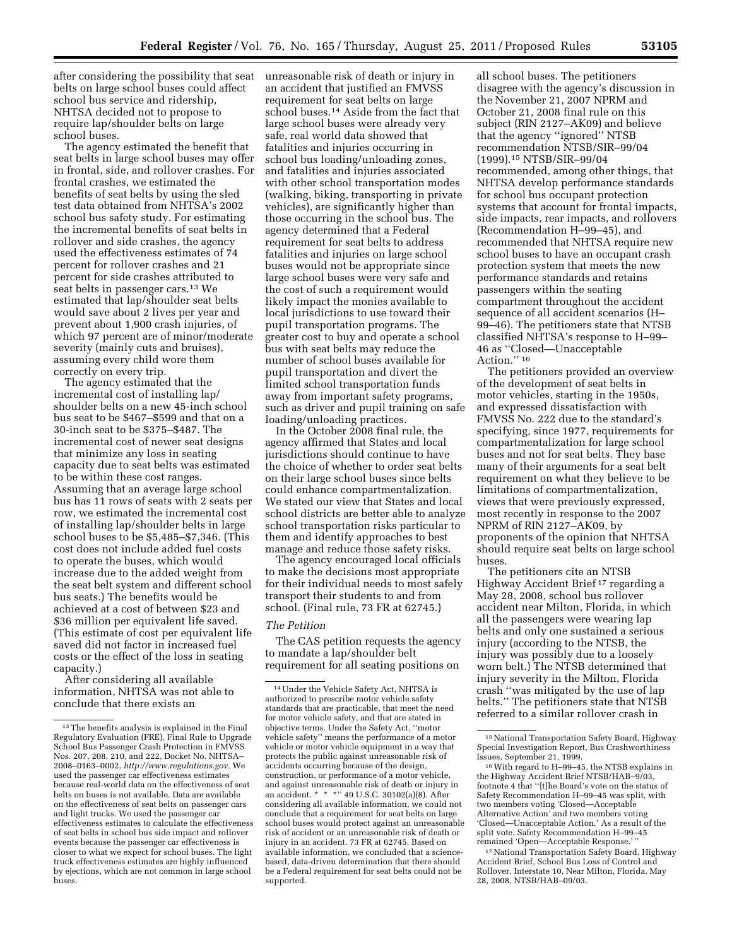after considering the possibility that seat unreasonable risk of death or injury in belts on large school buses could affect school bus service and ridership, NHTSA decided not to propose to require lap/shoulder belts on large school buses.

The agency estimated the benefit that seat belts in large school buses may offer in frontal, side, and rollover crashes. For frontal crashes, we estimated the benefits of seat belts by using the sled test data obtained from NHTSA's 2002 school bus safety study. For estimating the incremental benefits of seat belts in rollover and side crashes, the agency used the effectiveness estimates of 74 percent for rollover crashes and 21 percent for side crashes attributed to seat belts in passenger cars.13 We estimated that lap/shoulder seat belts would save about 2 lives per year and prevent about 1,900 crash injuries, of which 97 percent are of minor/moderate severity (mainly cuts and bruises), assuming every child wore them correctly on every trip.

The agency estimated that the incremental cost of installing lap/ shoulder belts on a new 45-inch school bus seat to be \$467–\$599 and that on a 30-inch seat to be \$375–\$487. The incremental cost of newer seat designs that minimize any loss in seating capacity due to seat belts was estimated to be within these cost ranges. Assuming that an average large school bus has 11 rows of seats with 2 seats per row, we estimated the incremental cost of installing lap/shoulder belts in large school buses to be \$5,485–\$7,346. (This cost does not include added fuel costs to operate the buses, which would increase due to the added weight from the seat belt system and different school bus seats.) The benefits would be achieved at a cost of between \$23 and \$36 million per equivalent life saved. (This estimate of cost per equivalent life saved did not factor in increased fuel costs or the effect of the loss in seating capacity.)

After considering all available information, NHTSA was not able to conclude that there exists an

an accident that justified an FMVSS requirement for seat belts on large school buses.14 Aside from the fact that large school buses were already very safe, real world data showed that fatalities and injuries occurring in school bus loading/unloading zones, and fatalities and injuries associated with other school transportation modes (walking, biking, transporting in private vehicles), are significantly higher than those occurring in the school bus. The agency determined that a Federal requirement for seat belts to address fatalities and injuries on large school buses would not be appropriate since large school buses were very safe and the cost of such a requirement would likely impact the monies available to local jurisdictions to use toward their pupil transportation programs. The greater cost to buy and operate a school bus with seat belts may reduce the number of school buses available for pupil transportation and divert the limited school transportation funds away from important safety programs, such as driver and pupil training on safe loading/unloading practices.

In the October 2008 final rule, the agency affirmed that States and local jurisdictions should continue to have the choice of whether to order seat belts on their large school buses since belts could enhance compartmentalization. We stated our view that States and local school districts are better able to analyze school transportation risks particular to them and identify approaches to best manage and reduce those safety risks.

The agency encouraged local officials to make the decisions most appropriate for their individual needs to most safely transport their students to and from school. (Final rule, 73 FR at 62745.)

#### *The Petition*

The CAS petition requests the agency to mandate a lap/shoulder belt requirement for all seating positions on

all school buses. The petitioners disagree with the agency's discussion in the November 21, 2007 NPRM and October 21, 2008 final rule on this subject (RIN 2127–AK09) and believe that the agency ''ignored'' NTSB recommendation NTSB/SIR–99/04 (1999).15 NTSB/SIR–99/04 recommended, among other things, that NHTSA develop performance standards for school bus occupant protection systems that account for frontal impacts, side impacts, rear impacts, and rollovers (Recommendation H–99–45), and recommended that NHTSA require new school buses to have an occupant crash protection system that meets the new performance standards and retains passengers within the seating compartment throughout the accident sequence of all accident scenarios (H– 99–46). The petitioners state that NTSB classified NHTSA's response to H–99– 46 as ''Closed—Unacceptable Action."<sup>16</sup>

The petitioners provided an overview of the development of seat belts in motor vehicles, starting in the 1950s, and expressed dissatisfaction with FMVSS No. 222 due to the standard's specifying, since 1977, requirements for compartmentalization for large school buses and not for seat belts. They base many of their arguments for a seat belt requirement on what they believe to be limitations of compartmentalization, views that were previously expressed, most recently in response to the 2007 NPRM of RIN 2127–AK09, by proponents of the opinion that NHTSA should require seat belts on large school buses.

The petitioners cite an NTSB Highway Accident Brief 17 regarding a May 28, 2008, school bus rollover accident near Milton, Florida, in which all the passengers were wearing lap belts and only one sustained a serious injury (according to the NTSB, the injury was possibly due to a loosely worn belt.) The NTSB determined that injury severity in the Milton, Florida crash ''was mitigated by the use of lap belts.'' The petitioners state that NTSB referred to a similar rollover crash in

<sup>16</sup> With regard to H–99–45, the NTSB explains in the Highway Accident Brief NTSB/HAB–9/03, footnote 4 that ''[t]he Board's vote on the status of Safety Recommendation H–99–45 was split, with two members voting 'Closed—Acceptable Alternative Action' and two members voting 'Closed—Unacceptable Action.' As a result of the split vote, Safety Recommendation H–99–45 remained 'Open-Acceptable Response.'

<sup>17</sup> National Transportation Safety Board, Highway Accident Brief, School Bus Loss of Control and Rollover, Interstate 10, Near Milton, Florida, May 28, 2008, NTSB/HAB–09/03.

 $^{\rm 13}$  The benefits analysis is explained in the Final Regulatory Evaluation (FRE), Final Rule to Upgrade School Bus Passenger Crash Protection in FMVSS Nos. 207, 208, 210, and 222, Docket No. NHTSA– 2008–0163–0002, *[http://www.regulations.gov.](http://www.regulations.gov)* We used the passenger car effectiveness estimates because real-world data on the effectiveness of seat belts on buses is not available. Data are available on the effectiveness of seat belts on passenger cars and light trucks. We used the passenger car effectiveness estimates to calculate the effectiveness of seat belts in school bus side impact and rollover events because the passenger car effectiveness is closer to what we expect for school buses. The light truck effectiveness estimates are highly influenced by ejections, which are not common in large school buses.

<sup>14</sup>Under the Vehicle Safety Act, NHTSA is authorized to prescribe motor vehicle safety standards that are practicable, that meet the need for motor vehicle safety, and that are stated in objective terms. Under the Safety Act, ''motor vehicle safety'' means the performance of a motor vehicle or motor vehicle equipment in a way that protects the public against unreasonable risk of accidents occurring because of the design, construction, or performance of a motor vehicle, and against unreasonable risk of death or injury in an accident. \* \* \*'' 49 U.S.C. 30102(a)(8). After considering all available information, we could not conclude that a requirement for seat belts on large school buses would protect against an unreasonable risk of accident or an unreasonable risk of death or injury in an accident. 73 FR at 62745. Based on available information, we concluded that a sciencebased, data-driven determination that there should be a Federal requirement for seat belts could not be supported.

<sup>&</sup>lt;sup>15</sup> National Transportation Safety Board, Highway Special Investigation Report, Bus Crashworthiness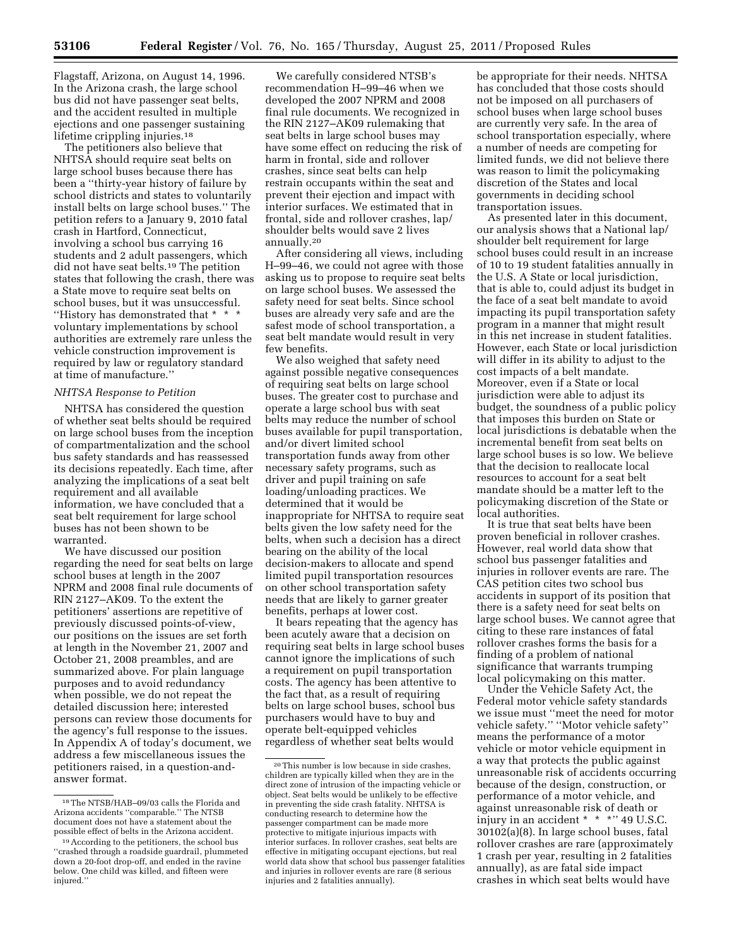Flagstaff, Arizona, on August 14, 1996. In the Arizona crash, the large school bus did not have passenger seat belts, and the accident resulted in multiple ejections and one passenger sustaining lifetime crippling injuries.<sup>18</sup>

The petitioners also believe that NHTSA should require seat belts on large school buses because there has been a ''thirty-year history of failure by school districts and states to voluntarily install belts on large school buses.'' The petition refers to a January 9, 2010 fatal crash in Hartford, Connecticut, involving a school bus carrying 16 students and 2 adult passengers, which did not have seat belts.19 The petition states that following the crash, there was a State move to require seat belts on school buses, but it was unsuccessful. ''History has demonstrated that \* \* \* voluntary implementations by school authorities are extremely rare unless the vehicle construction improvement is required by law or regulatory standard at time of manufacture.''

#### *NHTSA Response to Petition*

NHTSA has considered the question of whether seat belts should be required on large school buses from the inception of compartmentalization and the school bus safety standards and has reassessed its decisions repeatedly. Each time, after analyzing the implications of a seat belt requirement and all available information, we have concluded that a seat belt requirement for large school buses has not been shown to be warranted.

We have discussed our position regarding the need for seat belts on large school buses at length in the 2007 NPRM and 2008 final rule documents of RIN 2127–AK09. To the extent the petitioners' assertions are repetitive of previously discussed points-of-view, our positions on the issues are set forth at length in the November 21, 2007 and October 21, 2008 preambles, and are summarized above. For plain language purposes and to avoid redundancy when possible, we do not repeat the detailed discussion here; interested persons can review those documents for the agency's full response to the issues. In Appendix A of today's document, we address a few miscellaneous issues the petitioners raised, in a question-andanswer format.

We carefully considered NTSB's recommendation H–99–46 when we developed the 2007 NPRM and 2008 final rule documents. We recognized in the RIN 2127–AK09 rulemaking that seat belts in large school buses may have some effect on reducing the risk of harm in frontal, side and rollover crashes, since seat belts can help restrain occupants within the seat and prevent their ejection and impact with interior surfaces. We estimated that in frontal, side and rollover crashes, lap/ shoulder belts would save 2 lives annually.20

After considering all views, including H–99–46, we could not agree with those asking us to propose to require seat belts on large school buses. We assessed the safety need for seat belts. Since school buses are already very safe and are the safest mode of school transportation, a seat belt mandate would result in very few benefits.

We also weighed that safety need against possible negative consequences of requiring seat belts on large school buses. The greater cost to purchase and operate a large school bus with seat belts may reduce the number of school buses available for pupil transportation, and/or divert limited school transportation funds away from other necessary safety programs, such as driver and pupil training on safe loading/unloading practices. We determined that it would be inappropriate for NHTSA to require seat belts given the low safety need for the belts, when such a decision has a direct bearing on the ability of the local decision-makers to allocate and spend limited pupil transportation resources on other school transportation safety needs that are likely to garner greater benefits, perhaps at lower cost.

It bears repeating that the agency has been acutely aware that a decision on requiring seat belts in large school buses cannot ignore the implications of such a requirement on pupil transportation costs. The agency has been attentive to the fact that, as a result of requiring belts on large school buses, school bus purchasers would have to buy and operate belt-equipped vehicles regardless of whether seat belts would

be appropriate for their needs. NHTSA has concluded that those costs should not be imposed on all purchasers of school buses when large school buses are currently very safe. In the area of school transportation especially, where a number of needs are competing for limited funds, we did not believe there was reason to limit the policymaking discretion of the States and local governments in deciding school transportation issues.

As presented later in this document, our analysis shows that a National lap/ shoulder belt requirement for large school buses could result in an increase of 10 to 19 student fatalities annually in the U.S. A State or local jurisdiction, that is able to, could adjust its budget in the face of a seat belt mandate to avoid impacting its pupil transportation safety program in a manner that might result in this net increase in student fatalities. However, each State or local jurisdiction will differ in its ability to adjust to the cost impacts of a belt mandate. Moreover, even if a State or local jurisdiction were able to adjust its budget, the soundness of a public policy that imposes this burden on State or local jurisdictions is debatable when the incremental benefit from seat belts on large school buses is so low. We believe that the decision to reallocate local resources to account for a seat belt mandate should be a matter left to the policymaking discretion of the State or local authorities.

It is true that seat belts have been proven beneficial in rollover crashes. However, real world data show that school bus passenger fatalities and injuries in rollover events are rare. The CAS petition cites two school bus accidents in support of its position that there is a safety need for seat belts on large school buses. We cannot agree that citing to these rare instances of fatal rollover crashes forms the basis for a finding of a problem of national significance that warrants trumping local policymaking on this matter.

Under the Vehicle Safety Act, the Federal motor vehicle safety standards we issue must ''meet the need for motor vehicle safety.'' ''Motor vehicle safety'' means the performance of a motor vehicle or motor vehicle equipment in a way that protects the public against unreasonable risk of accidents occurring because of the design, construction, or performance of a motor vehicle, and against unreasonable risk of death or injury in an accident \* \* \* \* 29 U.S.C. 30102(a)(8). In large school buses, fatal rollover crashes are rare (approximately 1 crash per year, resulting in 2 fatalities annually), as are fatal side impact crashes in which seat belts would have

<sup>18</sup>The NTSB/HAB–09/03 calls the Florida and Arizona accidents ''comparable.'' The NTSB document does not have a statement about the possible effect of belts in the Arizona accident.

<sup>19</sup>According to the petitioners, the school bus ''crashed through a roadside guardrail, plummeted down a 20-foot drop-off, and ended in the ravine below. One child was killed, and fifteen were injured.'

<sup>20</sup>This number is low because in side crashes, children are typically killed when they are in the direct zone of intrusion of the impacting vehicle or object. Seat belts would be unlikely to be effective in preventing the side crash fatality. NHTSA is conducting research to determine how the passenger compartment can be made more protective to mitigate injurious impacts with interior surfaces. In rollover crashes, seat belts are effective in mitigating occupant ejections, but real world data show that school bus passenger fatalities and injuries in rollover events are rare (8 serious injuries and 2 fatalities annually).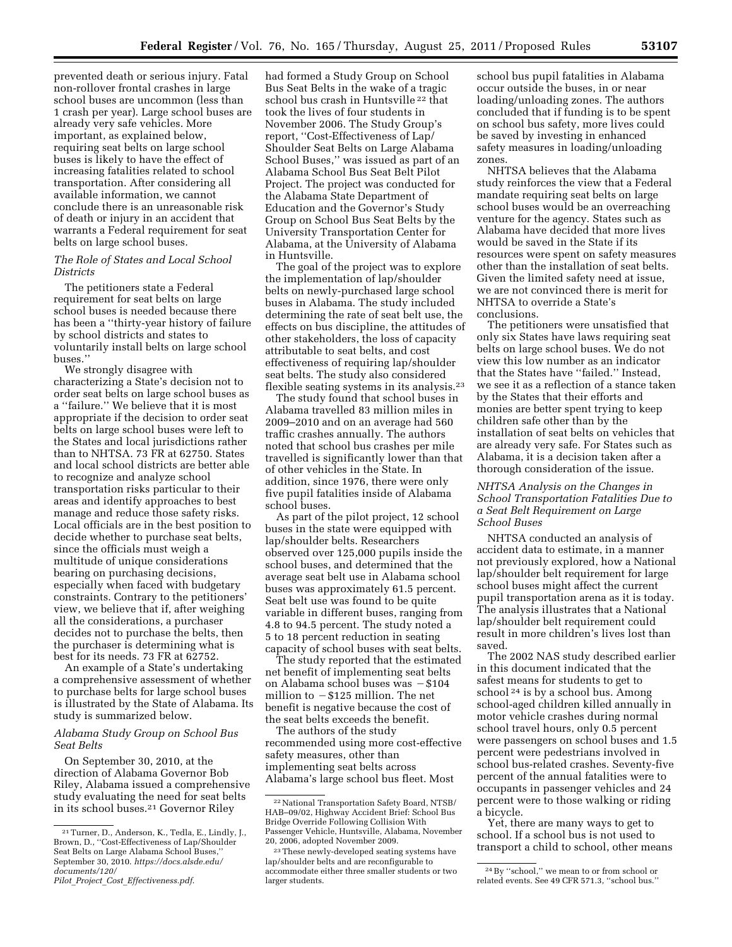prevented death or serious injury. Fatal non-rollover frontal crashes in large school buses are uncommon (less than 1 crash per year). Large school buses are already very safe vehicles. More important, as explained below, requiring seat belts on large school buses is likely to have the effect of increasing fatalities related to school transportation. After considering all available information, we cannot conclude there is an unreasonable risk of death or injury in an accident that warrants a Federal requirement for seat belts on large school buses.

# *The Role of States and Local School Districts*

The petitioners state a Federal requirement for seat belts on large school buses is needed because there has been a ''thirty-year history of failure by school districts and states to voluntarily install belts on large school buses.''

We strongly disagree with characterizing a State's decision not to order seat belts on large school buses as a ''failure.'' We believe that it is most appropriate if the decision to order seat belts on large school buses were left to the States and local jurisdictions rather than to NHTSA. 73 FR at 62750. States and local school districts are better able to recognize and analyze school transportation risks particular to their areas and identify approaches to best manage and reduce those safety risks. Local officials are in the best position to decide whether to purchase seat belts, since the officials must weigh a multitude of unique considerations bearing on purchasing decisions, especially when faced with budgetary constraints. Contrary to the petitioners' view, we believe that if, after weighing all the considerations, a purchaser decides not to purchase the belts, then the purchaser is determining what is best for its needs. 73 FR at 62752.

An example of a State's undertaking a comprehensive assessment of whether to purchase belts for large school buses is illustrated by the State of Alabama. Its study is summarized below.

# *Alabama Study Group on School Bus Seat Belts*

On September 30, 2010, at the direction of Alabama Governor Bob Riley, Alabama issued a comprehensive study evaluating the need for seat belts in its school buses.21 Governor Riley

had formed a Study Group on School Bus Seat Belts in the wake of a tragic school bus crash in Huntsville 22 that took the lives of four students in November 2006. The Study Group's report, ''Cost-Effectiveness of Lap/ Shoulder Seat Belts on Large Alabama School Buses,'' was issued as part of an Alabama School Bus Seat Belt Pilot Project. The project was conducted for the Alabama State Department of Education and the Governor's Study Group on School Bus Seat Belts by the University Transportation Center for Alabama, at the University of Alabama in Huntsville.

The goal of the project was to explore the implementation of lap/shoulder belts on newly-purchased large school buses in Alabama. The study included determining the rate of seat belt use, the effects on bus discipline, the attitudes of other stakeholders, the loss of capacity attributable to seat belts, and cost effectiveness of requiring lap/shoulder seat belts. The study also considered flexible seating systems in its analysis.23

The study found that school buses in Alabama travelled 83 million miles in 2009–2010 and on an average had 560 traffic crashes annually. The authors noted that school bus crashes per mile travelled is significantly lower than that of other vehicles in the State. In addition, since 1976, there were only five pupil fatalities inside of Alabama school buses.

As part of the pilot project, 12 school buses in the state were equipped with lap/shoulder belts. Researchers observed over 125,000 pupils inside the school buses, and determined that the average seat belt use in Alabama school buses was approximately 61.5 percent. Seat belt use was found to be quite variable in different buses, ranging from 4.8 to 94.5 percent. The study noted a 5 to 18 percent reduction in seating capacity of school buses with seat belts.

The study reported that the estimated net benefit of implementing seat belts on Alabama school buses was  $- $104$ million to  $- $125$  million. The net benefit is negative because the cost of the seat belts exceeds the benefit.

The authors of the study recommended using more cost-effective safety measures, other than implementing seat belts across Alabama's large school bus fleet. Most

school bus pupil fatalities in Alabama occur outside the buses, in or near loading/unloading zones. The authors concluded that if funding is to be spent on school bus safety, more lives could be saved by investing in enhanced safety measures in loading/unloading zones.

NHTSA believes that the Alabama study reinforces the view that a Federal mandate requiring seat belts on large school buses would be an overreaching venture for the agency. States such as Alabama have decided that more lives would be saved in the State if its resources were spent on safety measures other than the installation of seat belts. Given the limited safety need at issue, we are not convinced there is merit for NHTSA to override a State's conclusions.

The petitioners were unsatisfied that only six States have laws requiring seat belts on large school buses. We do not view this low number as an indicator that the States have ''failed.'' Instead, we see it as a reflection of a stance taken by the States that their efforts and monies are better spent trying to keep children safe other than by the installation of seat belts on vehicles that are already very safe. For States such as Alabama, it is a decision taken after a thorough consideration of the issue.

## *NHTSA Analysis on the Changes in School Transportation Fatalities Due to a Seat Belt Requirement on Large School Buses*

NHTSA conducted an analysis of accident data to estimate, in a manner not previously explored, how a National lap/shoulder belt requirement for large school buses might affect the current pupil transportation arena as it is today. The analysis illustrates that a National lap/shoulder belt requirement could result in more children's lives lost than saved.

The 2002 NAS study described earlier in this document indicated that the safest means for students to get to school <sup>24</sup> is by a school bus. Among school-aged children killed annually in motor vehicle crashes during normal school travel hours, only 0.5 percent were passengers on school buses and 1.5 percent were pedestrians involved in school bus-related crashes. Seventy-five percent of the annual fatalities were to occupants in passenger vehicles and 24 percent were to those walking or riding a bicycle.

Yet, there are many ways to get to school. If a school bus is not used to transport a child to school, other means

<sup>21</sup>Turner, D., Anderson, K., Tedla, E., Lindly, J., Brown, D., ''Cost-Effectiveness of Lap/Shoulder Seat Belts on Large Alabama School Buses, September 30, 2010. *[https://docs.alsde.edu/](https://docs.alsde.edu/documents/120/Pilot_Project_Cost_Effectiveness.pdf) [documents/120/](https://docs.alsde.edu/documents/120/Pilot_Project_Cost_Effectiveness.pdf)* 

*Pilot*\_*Project*\_*Cost*\_*[Effectiveness.pdf](https://docs.alsde.edu/documents/120/Pilot_Project_Cost_Effectiveness.pdf)*.

<sup>22</sup>National Transportation Safety Board, NTSB/ HAB–09/02, Highway Accident Brief: School Bus Bridge Override Following Collision With Passenger Vehicle, Huntsville, Alabama, November 20, 2006, adopted November 2009.

<sup>23</sup>These newly-developed seating systems have lap/shoulder belts and are reconfigurable to accommodate either three smaller students or two larger students.

<sup>24</sup>By ''school,'' we mean to or from school or related events. See 49 CFR 571.3, ''school bus.''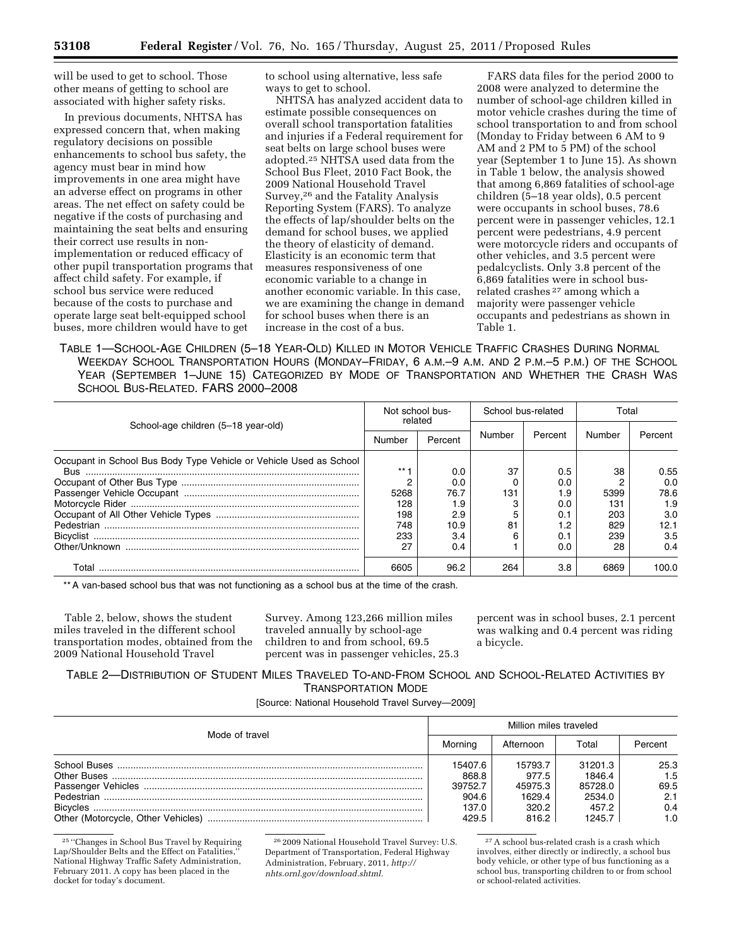will be used to get to school. Those other means of getting to school are associated with higher safety risks.

In previous documents, NHTSA has expressed concern that, when making regulatory decisions on possible enhancements to school bus safety, the agency must bear in mind how improvements in one area might have an adverse effect on programs in other areas. The net effect on safety could be negative if the costs of purchasing and maintaining the seat belts and ensuring their correct use results in nonimplementation or reduced efficacy of other pupil transportation programs that affect child safety. For example, if school bus service were reduced because of the costs to purchase and operate large seat belt-equipped school buses, more children would have to get

to school using alternative, less safe ways to get to school.

NHTSA has analyzed accident data to estimate possible consequences on overall school transportation fatalities and injuries if a Federal requirement for seat belts on large school buses were adopted.25 NHTSA used data from the School Bus Fleet, 2010 Fact Book, the 2009 National Household Travel Survey,26 and the Fatality Analysis Reporting System (FARS). To analyze the effects of lap/shoulder belts on the demand for school buses, we applied the theory of elasticity of demand. Elasticity is an economic term that measures responsiveness of one economic variable to a change in another economic variable. In this case, we are examining the change in demand for school buses when there is an increase in the cost of a bus.

FARS data files for the period 2000 to 2008 were analyzed to determine the number of school-age children killed in motor vehicle crashes during the time of school transportation to and from school (Monday to Friday between 6 AM to 9 AM and 2 PM to 5 PM) of the school year (September 1 to June 15). As shown in Table 1 below, the analysis showed that among 6,869 fatalities of school-age children (5–18 year olds), 0.5 percent were occupants in school buses, 78.6 percent were in passenger vehicles, 12.1 percent were pedestrians, 4.9 percent were motorcycle riders and occupants of other vehicles, and 3.5 percent were pedalcyclists. Only 3.8 percent of the 6,869 fatalities were in school busrelated crashes 27 among which a majority were passenger vehicle occupants and pedestrians as shown in Table 1.

TABLE 1—SCHOOL-AGE CHILDREN (5–18 YEAR-OLD) KILLED IN MOTOR VEHICLE TRAFFIC CRASHES DURING NORMAL WEEKDAY SCHOOL TRANSPORTATION HOURS (MONDAY–FRIDAY, 6 A.M.–9 A.M. AND 2 P.M.–5 P.M.) OF THE SCHOOL YEAR (SEPTEMBER 1–JUNE 15) CATEGORIZED BY MODE OF TRANSPORTATION AND WHETHER THE CRASH WAS SCHOOL BUS-RELATED. FARS 2000–2008

|                                                                    |           | Not school bus-<br>related |        | School bus-related |        | Total   |  |
|--------------------------------------------------------------------|-----------|----------------------------|--------|--------------------|--------|---------|--|
| School-age children (5-18 year-old)                                |           |                            | Number | Percent            | Number | Percent |  |
|                                                                    | Number    | Percent                    |        |                    |        |         |  |
| Occupant in School Bus Body Type Vehicle or Vehicle Used as School |           |                            |        |                    |        |         |  |
| <u>Bus …………………………………………………………………………………………</u>                      | $*** - 4$ | 0.0                        | 37     | 0.5                | 38     | 0.55    |  |
|                                                                    |           | 0.0                        |        | 0.0                |        | 0.0     |  |
|                                                                    | 5268      | 76.7                       | 131    | 1.9                | 5399   | 78.6    |  |
|                                                                    | 128       | 1.9                        | c      | 0.0                | 131    | 1.9     |  |
|                                                                    | 198       | 2.9                        |        | 0.1                | 203    | 3.0     |  |
|                                                                    | 748       | 10.9                       | 81     | 2. ا               | 829    | 12.1    |  |
|                                                                    | 233       | 3.4                        | ิค     | 0.1                | 239    | 3.5     |  |
|                                                                    | 27        | 0.4                        |        | 0.0                | 28     | 0.4     |  |
| Total                                                              | 6605      | 96.2                       | 264    | 3.8                | 6869   | 100.0   |  |

\*\* A van-based school bus that was not functioning as a school bus at the time of the crash.

Table 2, below, shows the student miles traveled in the different school transportation modes, obtained from the 2009 National Household Travel

Survey. Among 123,266 million miles traveled annually by school-age children to and from school, 69.5 percent was in passenger vehicles, 25.3 percent was in school buses, 2.1 percent was walking and 0.4 percent was riding a bicycle.

TABLE 2—DISTRIBUTION OF STUDENT MILES TRAVELED TO-AND-FROM SCHOOL AND SCHOOL-RELATED ACTIVITIES BY TRANSPORTATION MODE

[Source: National Household Travel Survey—2009]

| Mode of travel | Million miles traveled |           |         |         |  |
|----------------|------------------------|-----------|---------|---------|--|
|                | Morning                | Afternoon | Total   | Percent |  |
|                | 15407.6                | 15793.7   | 31201.3 | 25.3    |  |
|                | 868.8                  | 977.5     | 1846.4  | 1.5     |  |
|                | 39752.7                | 45975.3   | 85728.0 | 69.5    |  |
|                | 904.6                  | 1629.4    | 2534.0  | 2.1     |  |
|                | 137.0                  | 320.2     | 457.2   | 0.4     |  |
|                | 429.5                  | 816.2     | 1245.7  | 1.0     |  |

25 ''Changes in School Bus Travel by Requiring Lap/Shoulder Belts and the Effect on Fatalities, National Highway Traffic Safety Administration, February 2011. A copy has been placed in the docket for today's document.

26 2009 National Household Travel Survey: U.S. Department of Transportation, Federal Highway Administration, February, 2011, *[http://](http://nhts.ornl.gov/download.shtml)  [nhts.ornl.gov/download.shtml.](http://nhts.ornl.gov/download.shtml)* 

27A school bus-related crash is a crash which involves, either directly or indirectly, a school bus body vehicle, or other type of bus functioning as a school bus, transporting children to or from school or school-related activities.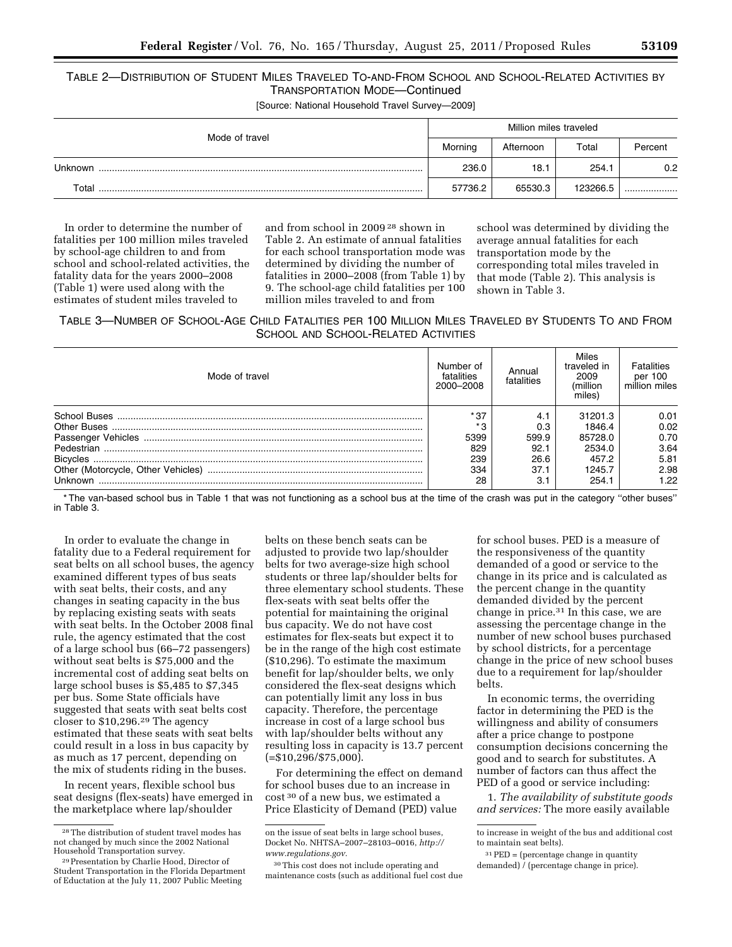# TABLE 2—DISTRIBUTION OF STUDENT MILES TRAVELED TO-AND-FROM SCHOOL AND SCHOOL-RELATED ACTIVITIES BY TRANSPORTATION MODE—Continued

[Source: National Household Travel Survey—2009]

|                | Million miles traveled                                  |         |          |     |  |
|----------------|---------------------------------------------------------|---------|----------|-----|--|
| Mode of travel | Morning<br>Afternoon<br>Total<br>236.0<br>254.1<br>18.1 | Percent |          |     |  |
| Unknown        |                                                         |         |          | 0.2 |  |
| Total          | 57736.2                                                 | 65530.3 | 123266.5 |     |  |

In order to determine the number of fatalities per 100 million miles traveled by school-age children to and from school and school-related activities, the fatality data for the years 2000–2008 (Table 1) were used along with the estimates of student miles traveled to

and from school in 2009 28 shown in Table 2. An estimate of annual fatalities for each school transportation mode was determined by dividing the number of fatalities in 2000–2008 (from Table 1) by 9. The school-age child fatalities per 100 million miles traveled to and from

school was determined by dividing the average annual fatalities for each transportation mode by the corresponding total miles traveled in that mode (Table 2). This analysis is shown in Table 3.

TABLE 3—NUMBER OF SCHOOL-AGE CHILD FATALITIES PER 100 MILLION MILES TRAVELED BY STUDENTS TO AND FROM SCHOOL AND SCHOOL-RELATED ACTIVITIES

| Mode of travel | Number of<br>fatalities<br>2000-2008 | Annual<br>fatalities | Miles<br>traveled in<br>2009<br>(million)<br>miles) | Fatalities<br>per 100<br>million miles |
|----------------|--------------------------------------|----------------------|-----------------------------------------------------|----------------------------------------|
|                | * 37                                 | 4.1                  | 31201.3                                             | 0.01                                   |
|                | $*$ $\Omega$                         | 0.3                  | 1846.4                                              | 0.02                                   |
|                | 5399                                 | 599.9                | 85728.0                                             | 0.70                                   |
|                | 829                                  | 92.1                 | 2534.0                                              | 3.64                                   |
|                | 239                                  | 26.6                 | 457.2                                               | 5.81                                   |
|                | 334                                  | 37.1                 | 1245.7                                              | 2.98                                   |
| Unknown        | 28                                   | З.                   | 254.1                                               | 1.22                                   |

\* The van-based school bus in Table 1 that was not functioning as a school bus at the time of the crash was put in the category ''other buses'' in Table 3.

In order to evaluate the change in fatality due to a Federal requirement for seat belts on all school buses, the agency examined different types of bus seats with seat belts, their costs, and any changes in seating capacity in the bus by replacing existing seats with seats with seat belts. In the October 2008 final rule, the agency estimated that the cost of a large school bus (66–72 passengers) without seat belts is \$75,000 and the incremental cost of adding seat belts on large school buses is \$5,485 to \$7,345 per bus. Some State officials have suggested that seats with seat belts cost closer to \$10,296.29 The agency estimated that these seats with seat belts could result in a loss in bus capacity by as much as 17 percent, depending on the mix of students riding in the buses.

In recent years, flexible school bus seat designs (flex-seats) have emerged in the marketplace where lap/shoulder

belts on these bench seats can be adjusted to provide two lap/shoulder belts for two average-size high school students or three lap/shoulder belts for three elementary school students. These flex-seats with seat belts offer the potential for maintaining the original bus capacity. We do not have cost estimates for flex-seats but expect it to be in the range of the high cost estimate (\$10,296). To estimate the maximum benefit for lap/shoulder belts, we only considered the flex-seat designs which can potentially limit any loss in bus capacity. Therefore, the percentage increase in cost of a large school bus with lap/shoulder belts without any resulting loss in capacity is 13.7 percent  $( = $10,296/ $75,000).$ 

For determining the effect on demand for school buses due to an increase in cost 30 of a new bus, we estimated a Price Elasticity of Demand (PED) value

for school buses. PED is a measure of the responsiveness of the quantity demanded of a good or service to the change in its price and is calculated as the percent change in the quantity demanded divided by the percent change in price.31 In this case, we are assessing the percentage change in the number of new school buses purchased by school districts, for a percentage change in the price of new school buses due to a requirement for lap/shoulder belts.

In economic terms, the overriding factor in determining the PED is the willingness and ability of consumers after a price change to postpone consumption decisions concerning the good and to search for substitutes. A number of factors can thus affect the PED of a good or service including:

1. *The availability of substitute goods and services:* The more easily available

<sup>28</sup>The distribution of student travel modes has not changed by much since the 2002 National

<sup>&</sup>lt;sup>29</sup> Presentation by Charlie Hood, Director of Student Transportation in the Florida Department of Eductation at the July 11, 2007 Public Meeting

on the issue of seat belts in large school buses, Docket No. NHTSA–2007–28103–0016, *[http://](http://www.regulations.gov) [www.regulations.gov.](http://www.regulations.gov)* 

<sup>30</sup>This cost does not include operating and maintenance costs (such as additional fuel cost due

to increase in weight of the bus and additional cost to maintain seat belts).

 $31$  PED = (percentage change in quantity demanded) / (percentage change in price).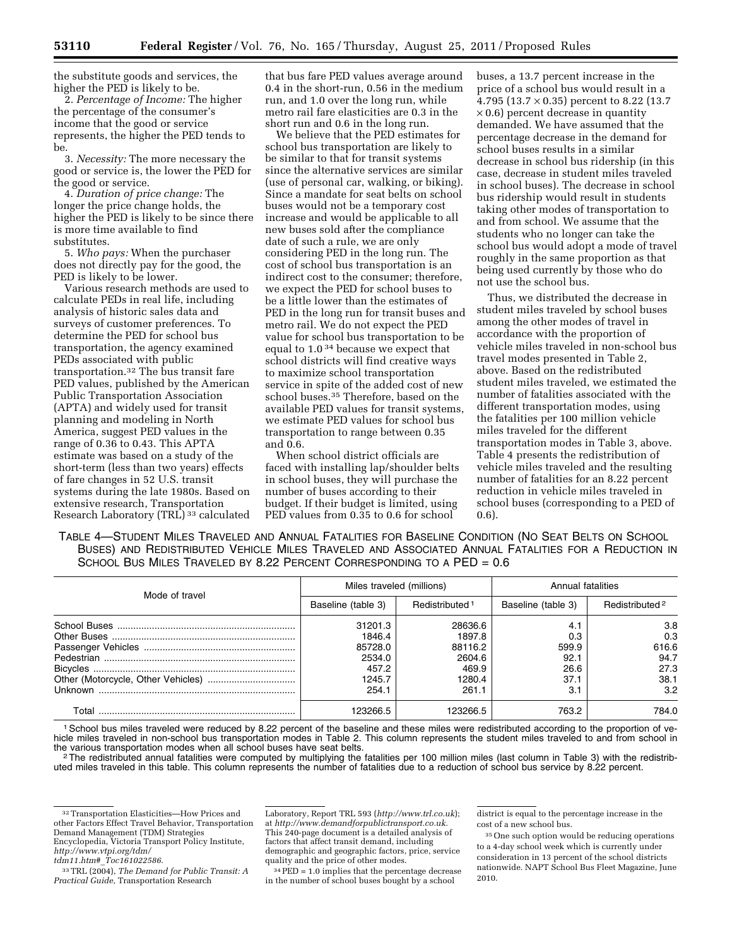the substitute goods and services, the higher the PED is likely to be.

2. *Percentage of Income:* The higher the percentage of the consumer's income that the good or service represents, the higher the PED tends to be.

3. *Necessity:* The more necessary the good or service is, the lower the PED for the good or service.

4. *Duration of price change:* The longer the price change holds, the higher the PED is likely to be since there is more time available to find substitutes.

5. *Who pays:* When the purchaser does not directly pay for the good, the PED is likely to be lower.

Various research methods are used to calculate PEDs in real life, including analysis of historic sales data and surveys of customer preferences. To determine the PED for school bus transportation, the agency examined PEDs associated with public transportation.32 The bus transit fare PED values, published by the American Public Transportation Association (APTA) and widely used for transit planning and modeling in North America, suggest PED values in the range of 0.36 to 0.43. This APTA estimate was based on a study of the short-term (less than two years) effects of fare changes in 52 U.S. transit systems during the late 1980s. Based on extensive research, Transportation Research Laboratory (TRL) 33 calculated that bus fare PED values average around 0.4 in the short-run, 0.56 in the medium run, and 1.0 over the long run, while metro rail fare elasticities are 0.3 in the short run and 0.6 in the long run.

We believe that the PED estimates for school bus transportation are likely to be similar to that for transit systems since the alternative services are similar (use of personal car, walking, or biking). Since a mandate for seat belts on school buses would not be a temporary cost increase and would be applicable to all new buses sold after the compliance date of such a rule, we are only considering PED in the long run. The cost of school bus transportation is an indirect cost to the consumer; therefore, we expect the PED for school buses to be a little lower than the estimates of PED in the long run for transit buses and metro rail. We do not expect the PED value for school bus transportation to be equal to 1.0 34 because we expect that school districts will find creative ways to maximize school transportation service in spite of the added cost of new school buses.35 Therefore, based on the available PED values for transit systems, we estimate PED values for school bus transportation to range between 0.35 and 0.6.

When school district officials are faced with installing lap/shoulder belts in school buses, they will purchase the number of buses according to their budget. If their budget is limited, using PED values from 0.35 to 0.6 for school

buses, a 13.7 percent increase in the price of a school bus would result in a 4.795 (13.7 × 0.35) percent to 8.22 (13.7  $\times$  0.6) percent decrease in quantity demanded. We have assumed that the percentage decrease in the demand for school buses results in a similar decrease in school bus ridership (in this case, decrease in student miles traveled in school buses). The decrease in school bus ridership would result in students taking other modes of transportation to and from school. We assume that the students who no longer can take the school bus would adopt a mode of travel roughly in the same proportion as that being used currently by those who do not use the school bus.

Thus, we distributed the decrease in student miles traveled by school buses among the other modes of travel in accordance with the proportion of vehicle miles traveled in non-school bus travel modes presented in Table 2, above. Based on the redistributed student miles traveled, we estimated the number of fatalities associated with the different transportation modes, using the fatalities per 100 million vehicle miles traveled for the different transportation modes in Table 3, above. Table 4 presents the redistribution of vehicle miles traveled and the resulting number of fatalities for an 8.22 percent reduction in vehicle miles traveled in school buses (corresponding to a PED of 0.6).

TABLE 4—STUDENT MILES TRAVELED AND ANNUAL FATALITIES FOR BASELINE CONDITION (NO SEAT BELTS ON SCHOOL BUSES) AND REDISTRIBUTED VEHICLE MILES TRAVELED AND ASSOCIATED ANNUAL FATALITIES FOR A REDUCTION IN SCHOOL BUS MILES TRAVELED BY 8.22 PERCENT CORRESPONDING TO A PED = 0.6

| Mode of travel | Miles traveled (millions) |                            | Annual fatalities  |                            |  |
|----------------|---------------------------|----------------------------|--------------------|----------------------------|--|
|                | Baseline (table 3)        | Redistributed <sup>1</sup> | Baseline (table 3) | Redistributed <sup>2</sup> |  |
|                | 31201.3                   | 28636.6                    | 4.1                | 3.8                        |  |
|                | 1846.4                    | 1897.8                     | 0.3                | 0.3                        |  |
|                | 85728.0                   | 88116.2                    | 599.9              | 616.6                      |  |
|                | 2534.0                    | 2604.6                     | 92.1               | 94.7                       |  |
|                | 457.2                     | 469.9                      | 26.6               | 27.3                       |  |
|                | 1245.7                    | 1280.4                     | 37.1               | 38.1                       |  |
| Unknown        | 254.1                     | 261.1                      | 3.1                | 3.2                        |  |
| Total          | 123266.5                  | 123266.5                   | 763.2              | 784.0                      |  |

1School bus miles traveled were reduced by 8.22 percent of the baseline and these miles were redistributed according to the proportion of vehicle miles traveled in non-school bus transportation modes in Table 2. This column represents the student miles traveled to and from school in<br>the various transportation modes when all school buses have seat belts.

<sup>2</sup>The redistributed annual fatalities were computed by multiplying the fatalities per 100 million miles (last column in Table 3) with the redistributed miles traveled in this table. This column represents the number of fatalities due to a reduction of school bus service by 8.22 percent.

Laboratory, Report TRL 593 (*<http://www.trl.co.uk>*); at *[http://www.demandforpublictransport.co.uk.](http://www.demandforpublictransport.co.uk)*  This 240-page document is a detailed analysis of factors that affect transit demand, including demographic and geographic factors, price, service quality and the price of other modes.

34PED = 1.0 implies that the percentage decrease in the number of school buses bought by a school

district is equal to the percentage increase in the cost of a new school bus.

<sup>32</sup>Transportation Elasticities—How Prices and other Factors Effect Travel Behavior, Transportation Demand Management (TDM) Strategies Encyclopedia, Victoria Transport Policy Institute, *[http://www.vtpi.org/tdm/](http://www.vtpi.org/tdm/tdm11.htm#_Toc161022586)* 

*tdm11.htm#*\_*[Toc161022586](http://www.vtpi.org/tdm/tdm11.htm#_Toc161022586)*.

<sup>33</sup>TRL (2004), *The Demand for Public Transit: A Practical Guide*, Transportation Research

<sup>35</sup>One such option would be reducing operations to a 4-day school week which is currently under consideration in 13 percent of the school districts nationwide. NAPT School Bus Fleet Magazine, June 2010.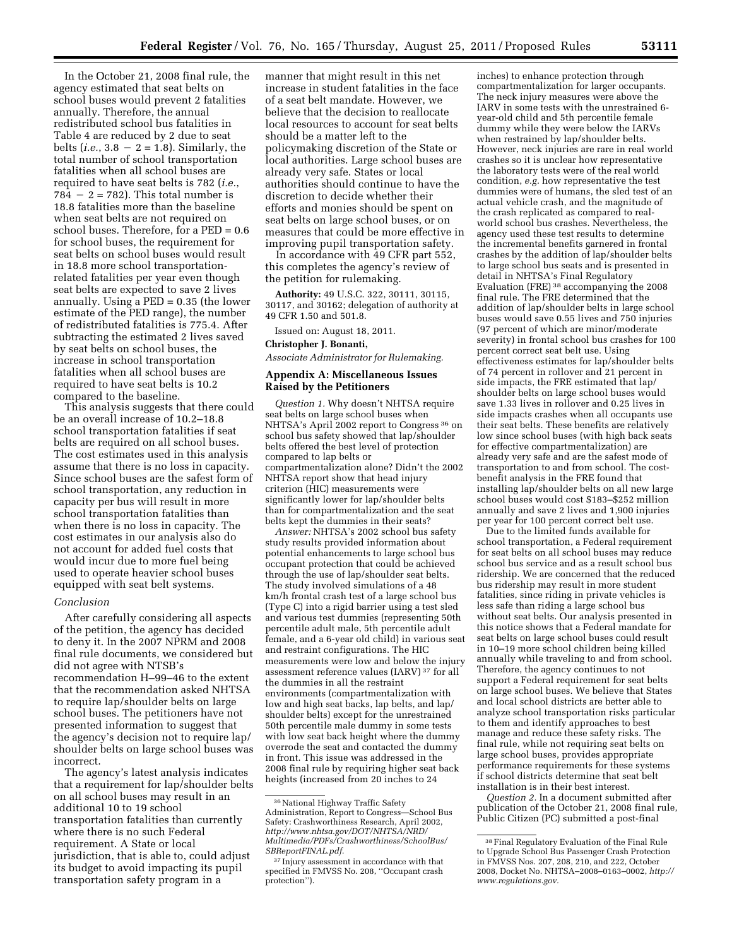In the October 21, 2008 final rule, the agency estimated that seat belts on school buses would prevent 2 fatalities annually. Therefore, the annual redistributed school bus fatalities in Table 4 are reduced by 2 due to seat belts (*i.e.*,  $3.8 - 2 = 1.8$ ). Similarly, the total number of school transportation fatalities when all school buses are required to have seat belts is 782 (*i.e.*,  $784 - 2 = 782$ . This total number is 18.8 fatalities more than the baseline when seat belts are not required on school buses. Therefore, for a PED = 0.6 for school buses, the requirement for seat belts on school buses would result in 18.8 more school transportationrelated fatalities per year even though seat belts are expected to save 2 lives annually. Using a PED = 0.35 (the lower estimate of the PED range), the number of redistributed fatalities is 775.4. After subtracting the estimated 2 lives saved by seat belts on school buses, the increase in school transportation fatalities when all school buses are required to have seat belts is 10.2 compared to the baseline.

This analysis suggests that there could be an overall increase of 10.2–18.8 school transportation fatalities if seat belts are required on all school buses. The cost estimates used in this analysis assume that there is no loss in capacity. Since school buses are the safest form of school transportation, any reduction in capacity per bus will result in more school transportation fatalities than when there is no loss in capacity. The cost estimates in our analysis also do not account for added fuel costs that would incur due to more fuel being used to operate heavier school buses equipped with seat belt systems.

#### *Conclusion*

After carefully considering all aspects of the petition, the agency has decided to deny it. In the 2007 NPRM and 2008 final rule documents, we considered but did not agree with NTSB's recommendation H–99–46 to the extent that the recommendation asked NHTSA to require lap/shoulder belts on large school buses. The petitioners have not presented information to suggest that the agency's decision not to require lap/ shoulder belts on large school buses was incorrect.

The agency's latest analysis indicates that a requirement for lap/shoulder belts on all school buses may result in an additional 10 to 19 school transportation fatalities than currently where there is no such Federal requirement. A State or local jurisdiction, that is able to, could adjust its budget to avoid impacting its pupil transportation safety program in a

manner that might result in this net increase in student fatalities in the face of a seat belt mandate. However, we believe that the decision to reallocate local resources to account for seat belts should be a matter left to the policymaking discretion of the State or local authorities. Large school buses are already very safe. States or local authorities should continue to have the discretion to decide whether their efforts and monies should be spent on seat belts on large school buses, or on measures that could be more effective in improving pupil transportation safety.

In accordance with 49 CFR part 552, this completes the agency's review of the petition for rulemaking.

**Authority:** 49 U.S.C. 322, 30111, 30115, 30117, and 30162; delegation of authority at 49 CFR 1.50 and 501.8.

Issued on: August 18, 2011.

#### **Christopher J. Bonanti,**

*Associate Administrator for Rulemaking.* 

## **Appendix A: Miscellaneous Issues Raised by the Petitioners**

*Question 1.* Why doesn't NHTSA require seat belts on large school buses when NHTSA's April 2002 report to Congress 36 on school bus safety showed that lap/shoulder belts offered the best level of protection compared to lap belts or compartmentalization alone? Didn't the 2002 NHTSA report show that head injury criterion (HIC) measurements were significantly lower for lap/shoulder belts than for compartmentalization and the seat belts kept the dummies in their seats?

*Answer:* NHTSA's 2002 school bus safety study results provided information about potential enhancements to large school bus occupant protection that could be achieved through the use of lap/shoulder seat belts. The study involved simulations of a 48 km/h frontal crash test of a large school bus (Type C) into a rigid barrier using a test sled and various test dummies (representing 50th percentile adult male, 5th percentile adult female, and a 6-year old child) in various seat and restraint configurations. The HIC measurements were low and below the injury assessment reference values (IARV) 37 for all the dummies in all the restraint environments (compartmentalization with low and high seat backs, lap belts, and lap/ shoulder belts) except for the unrestrained 50th percentile male dummy in some tests with low seat back height where the dummy overrode the seat and contacted the dummy in front. This issue was addressed in the 2008 final rule by requiring higher seat back heights (increased from 20 inches to 24

inches) to enhance protection through compartmentalization for larger occupants. The neck injury measures were above the IARV in some tests with the unrestrained 6 year-old child and 5th percentile female dummy while they were below the IARVs when restrained by lap/shoulder belts. However, neck injuries are rare in real world crashes so it is unclear how representative the laboratory tests were of the real world condition, *e.g.* how representative the test dummies were of humans, the sled test of an actual vehicle crash, and the magnitude of the crash replicated as compared to realworld school bus crashes. Nevertheless, the agency used these test results to determine the incremental benefits garnered in frontal crashes by the addition of lap/shoulder belts to large school bus seats and is presented in detail in NHTSA's Final Regulatory Evaluation (FRE) 38 accompanying the 2008 final rule. The FRE determined that the addition of lap/shoulder belts in large school buses would save 0.55 lives and 750 injuries (97 percent of which are minor/moderate severity) in frontal school bus crashes for 100 percent correct seat belt use. Using effectiveness estimates for lap/shoulder belts of 74 percent in rollover and 21 percent in side impacts, the FRE estimated that lap/ shoulder belts on large school buses would save 1.33 lives in rollover and 0.25 lives in side impacts crashes when all occupants use their seat belts. These benefits are relatively low since school buses (with high back seats for effective compartmentalization) are already very safe and are the safest mode of transportation to and from school. The costbenefit analysis in the FRE found that installing lap/shoulder belts on all new large school buses would cost \$183–\$252 million annually and save 2 lives and 1,900 injuries per year for 100 percent correct belt use.

Due to the limited funds available for school transportation, a Federal requirement for seat belts on all school buses may reduce school bus service and as a result school bus ridership. We are concerned that the reduced bus ridership may result in more student fatalities, since riding in private vehicles is less safe than riding a large school bus without seat belts. Our analysis presented in this notice shows that a Federal mandate for seat belts on large school buses could result in 10–19 more school children being killed annually while traveling to and from school. Therefore, the agency continues to not support a Federal requirement for seat belts on large school buses. We believe that States and local school districts are better able to analyze school transportation risks particular to them and identify approaches to best manage and reduce these safety risks. The final rule, while not requiring seat belts on large school buses, provides appropriate performance requirements for these systems if school districts determine that seat belt installation is in their best interest.

*Question 2.* In a document submitted after publication of the October 21, 2008 final rule, Public Citizen (PC) submitted a post-final

 $^{36}\rm\, National$  Highway Traffic Safety Administration, Report to Congress—School Bus Safety: Crashworthiness Research, April 2002, *[http://www.nhtsa.gov/DOT/NHTSA/NRD/](http://www.nhtsa.gov/DOT/NHTSA/NRD/Multimedia/PDFs/Crashworthiness/SchoolBus/SBReportFINAL.pdf)  [Multimedia/PDFs/Crashworthiness/SchoolBus/](http://www.nhtsa.gov/DOT/NHTSA/NRD/Multimedia/PDFs/Crashworthiness/SchoolBus/SBReportFINAL.pdf) [SBReportFINAL.pdf.](http://www.nhtsa.gov/DOT/NHTSA/NRD/Multimedia/PDFs/Crashworthiness/SchoolBus/SBReportFINAL.pdf)* 

<sup>&</sup>lt;sup>37</sup> Injury assessment in accordance with that specified in FMVSS No. 208, ''Occupant crash protection'').

<sup>38</sup>Final Regulatory Evaluation of the Final Rule to Upgrade School Bus Passenger Crash Protection in FMVSS Nos. 207, 208, 210, and 222, October 2008, Docket No. NHTSA–2008–0163–0002, *[http://](http://www.regulations.gov)  [www.regulations.gov.](http://www.regulations.gov)*